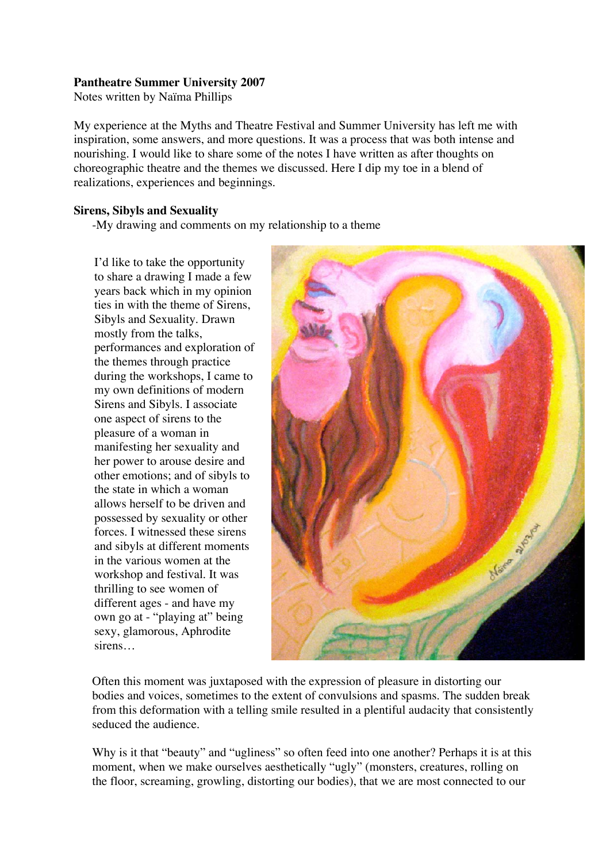# **Pantheatre Summer University 2007**

Notes written by Naïma Phillips

My experience at the Myths and Theatre Festival and Summer University has left me with inspiration, some answers, and more questions. It was a process that was both intense and nourishing. I would like to share some of the notes I have written as after thoughts on choreographic theatre and the themes we discussed. Here I dip my toe in a blend of realizations, experiences and beginnings.

# **Sirens, Sibyls and Sexuality**

-My drawing and comments on my relationship to a theme

I'd like to take the opportunity to share a drawing I made a few years back which in my opinion ties in with the theme of Sirens, Sibyls and Sexuality. Drawn mostly from the talks, performances and exploration of the themes through practice during the workshops, I came to my own definitions of modern Sirens and Sibyls. I associate one aspect of sirens to the pleasure of a woman in manifesting her sexuality and her power to arouse desire and other emotions; and of sibyls to the state in which a woman allows herself to be driven and possessed by sexuality or other forces. I witnessed these sirens and sibyls at different moments in the various women at the workshop and festival. It was thrilling to see women of different ages - and have my own go at - "playing at" being sexy, glamorous, Aphrodite sirens…



Often this moment was juxtaposed with the expression of pleasure in distorting our bodies and voices, sometimes to the extent of convulsions and spasms. The sudden break from this deformation with a telling smile resulted in a plentiful audacity that consistently seduced the audience.

Why is it that "beauty" and "ugliness" so often feed into one another? Perhaps it is at this moment, when we make ourselves aesthetically "ugly" (monsters, creatures, rolling on the floor, screaming, growling, distorting our bodies), that we are most connected to our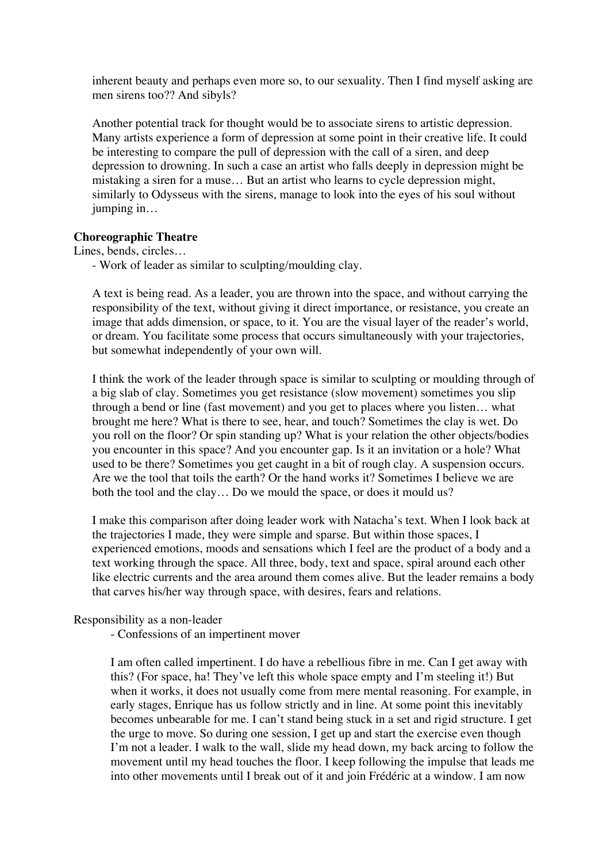inherent beauty and perhaps even more so, to our sexuality. Then I find myself asking are men sirens too?? And sibyls?

Another potential track for thought would be to associate sirens to artistic depression. Many artists experience a form of depression at some point in their creative life. It could be interesting to compare the pull of depression with the call of a siren, and deep depression to drowning. In such a case an artist who falls deeply in depression might be mistaking a siren for a muse… But an artist who learns to cycle depression might, similarly to Odysseus with the sirens, manage to look into the eyes of his soul without jumping in…

### **Choreographic Theatre**

Lines, bends, circles…

- Work of leader as similar to sculpting/moulding clay.

A text is being read. As a leader, you are thrown into the space, and without carrying the responsibility of the text, without giving it direct importance, or resistance, you create an image that adds dimension, or space, to it. You are the visual layer of the reader's world, or dream. You facilitate some process that occurs simultaneously with your trajectories, but somewhat independently of your own will.

I think the work of the leader through space is similar to sculpting or moulding through of a big slab of clay. Sometimes you get resistance (slow movement) sometimes you slip through a bend or line (fast movement) and you get to places where you listen… what brought me here? What is there to see, hear, and touch? Sometimes the clay is wet. Do you roll on the floor? Or spin standing up? What is your relation the other objects/bodies you encounter in this space? And you encounter gap. Is it an invitation or a hole? What used to be there? Sometimes you get caught in a bit of rough clay. A suspension occurs. Are we the tool that toils the earth? Or the hand works it? Sometimes I believe we are both the tool and the clay… Do we mould the space, or does it mould us?

I make this comparison after doing leader work with Natacha's text. When I look back at the trajectories I made, they were simple and sparse. But within those spaces, I experienced emotions, moods and sensations which I feel are the product of a body and a text working through the space. All three, body, text and space, spiral around each other like electric currents and the area around them comes alive. But the leader remains a body that carves his/her way through space, with desires, fears and relations.

#### Responsibility as a non-leader

- Confessions of an impertinent mover

I am often called impertinent. I do have a rebellious fibre in me. Can I get away with this? (For space, ha! They've left this whole space empty and I'm steeling it!) But when it works, it does not usually come from mere mental reasoning. For example, in early stages, Enrique has us follow strictly and in line. At some point this inevitably becomes unbearable for me. I can't stand being stuck in a set and rigid structure. I get the urge to move. So during one session, I get up and start the exercise even though I'm not a leader. I walk to the wall, slide my head down, my back arcing to follow the movement until my head touches the floor. I keep following the impulse that leads me into other movements until I break out of it and join Frédéric at a window. I am now